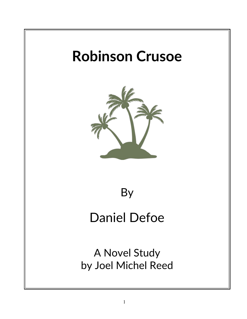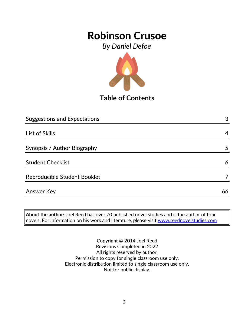*By Daniel Defoe*



**Table of Contents**

| <b>Suggestions and Expectations</b> | 3  |
|-------------------------------------|----|
|                                     |    |
| List of Skills                      | 4  |
|                                     |    |
| Synopsis / Author Biography         | 5  |
|                                     |    |
| <b>Student Checklist</b>            | 6  |
|                                     |    |
| Reproducible Student Booklet        |    |
|                                     |    |
| Answer Key                          | 66 |

**About the author:** Joel Reed has over 70 published novel studies and is the author of four  $|$ novels. For information on his work and literature, please visit  $\overline{\text{www.reednovelstudies.com}}$ 

> Copyright © 2014 Joel Reed Revisions Completed in 2022 All rights reserved by author. Permission to copy for single classroom use only. Electronic distribution limited to single classroom use only. Not for public display.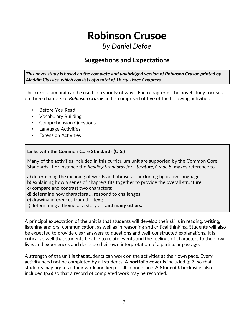## *By Daniel Defoe*

### **Suggestions and Expectations**

*This novel study is based on the complete and unabridged version of Robinson Crusoe printed by Aladdin Classics, which consists of a total of Thirty Three Chapters.* 

This curriculum unit can be used in a variety of ways. Each chapter of the novel study focuses on three chapters of *Robinson Crusoe* and is comprised of five of the following activities:

- Before You Read
- Vocabulary Building
- Comprehension Questions
- Language Activities
- Extension Activities

### **Links with the Common Core Standards (U.S.)**

Many of the activities included in this curriculum unit are supported by the Common Core Standards. For instance the *Reading Standards for Literature, Grade 5*, makes reference to

- a) determining the meaning of words and phrases. . . including figurative language;
- b) explaining how a series of chapters fits together to provide the overall structure;
- c) compare and contrast two characters;
- d) determine how characters … respond to challenges;
- e) drawing inferences from the text;
- f) determining a theme of a story . . . **and many others.**

A principal expectation of the unit is that students will develop their skills in reading, writing, listening and oral communication, as well as in reasoning and critical thinking. Students will also be expected to provide clear answers to questions and well-constructed explanations. It is critical as well that students be able to relate events and the feelings of characters to their own lives and experiences and describe their own interpretation of a particular passage.

A strength of the unit is that students can work on the activities at their own pace. Every activity need not be completed by all students. A **portfolio cover** is included (p.7) so that students may organize their work and keep it all in one place. A **Student Checklist** is also included (p.6) so that a record of completed work may be recorded.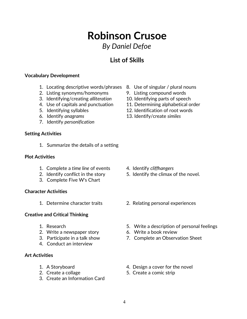## **Robinson Crusoe** *By Daniel Defoe*

### **List of Skills**

### **Vocabulary Development**

- 1. Locating descriptive words/phrases 8. Use of singular / plural nouns
- 2. Listing synonyms/homonyms 9. Listing compound words
- 3. Identifying/creating *alliteration* 10. Identifying parts of speech
- 
- 
- 
- 7. Identify *personification*

#### **Setting Activities**

1. Summarize the details of a setting

#### **Plot Activities**

- 1. Complete a *time line* of events 4. Identify *cliffhangers*
- 
- 3. Complete Five W's Chart

### **Character Activities**

### **Creative and Critical Thinking**

- 
- 2. Write a newspaper story 6. Write a book review
- 
- 4. Conduct an interview

### **Art Activities**

- 
- 
- 3. Create an Information Card
- 
- 
- 
- 4. Use of capitals and punctuation 11. Determining alphabetical order
- 5. Identifying syllables 12. Identification of root words
- 6. Identify *anagrams* 13. Identify/create *similes*

- 
- 2. Identify conflict in the story 5. Identify the climax of the novel.
- 1. Determine character traits 2. Relating personal experiences
- 1. Research 5. Write a description of personal feelings
	-
- 3. Participate in a talk show 7. Complete an Observation Sheet
- 1. A Storyboard **1.** A Storyboard **1.** A Storyboard
- 2. Create a collage 5. Create a comic strip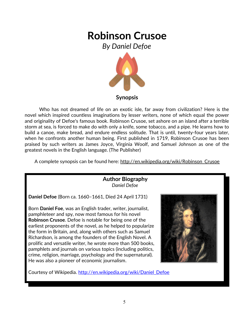*By Daniel Defoe*



Who has not dreamed of life on an exotic isle, far away from civilization? Here is the novel which inspired countless imaginations by lesser writers, none of which equal the power and originality of Defoe's famous book. Robinson Crusoe, set ashore on an island after a terrible storm at sea, is forced to make do with only a knife, some tobacco, and a pipe. He learns how to build a canoe, make bread, and endure endless solitude. That is until, twenty-four years later, when he confronts another human being. First published in 1719, Robinson Crusoe has been praised by such writers as James Joyce, Virginia Woolf, and Samuel Johnson as one of the greatest novels in the English language. (The Publisher)

A complete synopsis can be found here: http://en.wikipedia.org/wiki/Robinson\_Crusoe

### **Author Biography** *Daniel Defoe*

**Daniel Defoe** (Born ca. 1660–1661, Died 24 April 1731)

Born **Daniel Foe**, was an English trader, writer, journalist, pamphleteer and spy, now most famous for his novel **Robinson Crusoe**. Defoe is notable for being one of the earliest proponents of the novel, as he helped to popularize the form in Britain, and, along with others such as Samuel Richardson, is among the founders of the English Novel. A prolific and versatile writer, he wrote more than 500 books, pamphlets and journals on various topics (including politics, crime, religion, marriage, psychology and the supernatural). He was also a pioneer of economic journalism.



Courtesy of Wikipedia. http://en.wikipedia.org/wiki/Daniel Defoe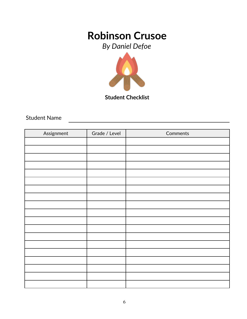*By Daniel Defoe*



**Student Checklist**

Student Name

| Assignment | Grade / Level | Comments |
|------------|---------------|----------|
|            |               |          |
|            |               |          |
|            |               |          |
|            |               |          |
|            |               |          |
|            |               |          |
|            |               |          |
|            |               |          |
|            |               |          |
|            |               |          |
|            |               |          |
|            |               |          |
|            |               |          |
|            |               |          |
|            |               |          |
|            |               |          |
|            |               |          |
|            |               |          |
|            |               |          |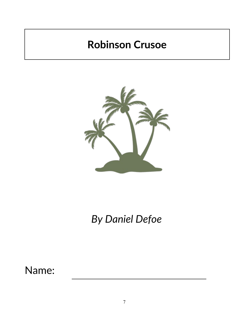

*By Daniel Defoe*

Name: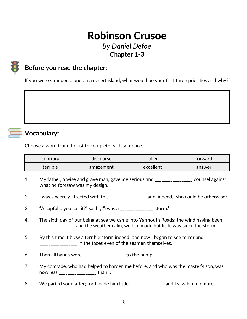## **Robinson Crusoe** *By Daniel Defoe* **Chapter 1-3**



## **Before you read the chapter**:

If you were stranded alone on a desert island, what would be your first three priorities and why?



### **Vocabulary:**

Choose a word from the list to complete each sentence.

| contrary | discourse | called    | forward |
|----------|-----------|-----------|---------|
| terrible | amazement | excellent | answer  |

- 1. My father, a wise and grave man, gave me serious and \_\_\_\_\_\_\_\_\_\_\_\_\_\_\_\_\_ counsel against what he foresaw was my design.
- 2. I was sincerely affected with this \_\_\_\_\_\_\_\_\_\_\_\_\_\_\_, and, indeed, who could be otherwise?
- 3. "A capful d'you call it?" said I; "'twas a \_\_\_\_\_\_\_\_\_\_\_\_\_\_\_ storm."
- 4. The sixth day of our being at sea we came into Yarmouth Roads; the wind having been \_\_\_\_\_\_\_\_\_\_\_\_\_\_\_\_ and the weather calm, we had made but little way since the storm.
- 5. By this time it blew a terrible storm indeed; and now I began to see terror and \_\_\_\_\_\_\_\_\_\_\_\_\_\_\_\_\_\_\_ in the faces even of the seamen themselves.
- 6. Then all hands were  $\frac{1}{2}$  =  $\frac{1}{2}$  =  $\frac{1}{2}$  =  $\frac{1}{2}$  to the pump.
- 7. My comrade, who had helped to harden me before, and who was the master's son, was now less \_\_\_\_\_\_\_\_\_\_\_\_\_\_\_\_\_ than I.
- 8. We parted soon after; for I made him little \_\_\_\_\_\_\_\_\_\_\_\_\_, and I saw him no more.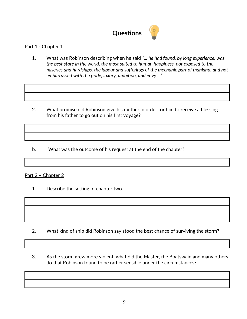

### Part 1 - Chapter 1

- 1. What was Robinson describing when he said *"... he had found, by long experience, was the best state in the world, the most suited to human happiness, not exposed to the miseries and hardships, the labour and sufferings of the mechanic part of mankind, and not embarrassed with the pride, luxury, ambition, and envy ..."*
- 2. What promise did Robinson give his mother in order for him to receive a blessing from his father to go out on his first voyage?

b. What was the outcome of his request at the end of the chapter?

#### Part 2 – Chapter 2

- 1. Describe the setting of chapter two.
- - 2. What kind of ship did Robinson say stood the best chance of surviving the storm?
	- 3. As the storm grew more violent, what did the Master, the Boatswain and many others do that Robinson found to be rather sensible under the circumstances?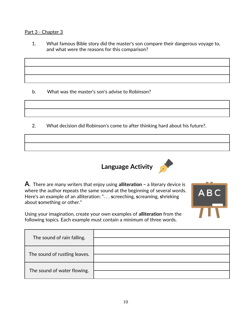#### Part 3 - Chapter 3

1. What famous Bible story did the master's son compare their dangerous voyage to, and what were the reasons for this comparison?

b. What was the master's son's advise to Robinson?

2. What decision did Robinson's come to after thinking hard about his future?.





ABC

**A**. There are many writers that enjoy using **alliteration –** a literary device is where the author **r**epeats the same sound at the beginning of several words. Here's an example of an alliteration: ". . . **s**creeching, **s**creaming, **s**hrieking about **s**omething or other."

Using your imagination, create your own examples of **alliteration** from the following topics. Each example must contain a minimum of three words.

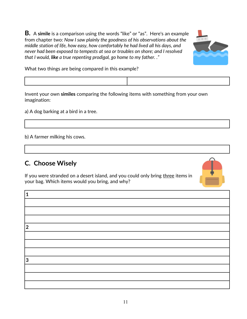**B.** A **simile** is a comparison using the words "like" or "as". Here's an example from chapter two: *Now I saw plainly the goodness of his observations about the middle station of life, how easy, how comfortably he had lived all his days, and never had been exposed to tempests at sea or troubles on shore; and I resolved that I would, like a true repenting prodigal, go home to my father. ."* 



What two things are being compared in this example?

Invent your own **similes** comparing the following items with something from your own imagination:

a) A dog barking at a bird in a tree.

b) A farmer milking his cows.

### **C. Choose Wisely**

If you were stranded on a desert island, and you could only bring three items in your bag. Which items would you bring, and why?



| $\overline{2}$ |  |
|----------------|--|
|                |  |
|                |  |
|                |  |
| 3              |  |
|                |  |
|                |  |
|                |  |
|                |  |